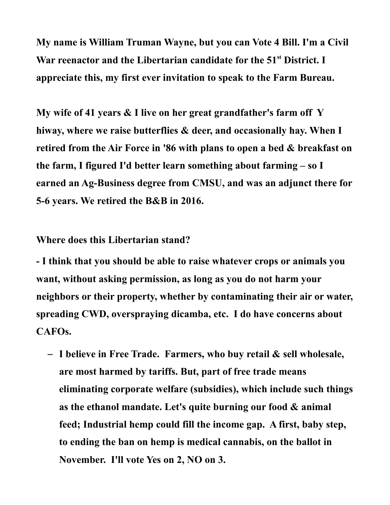**My name is William Truman Wayne, but you can Vote 4 Bill. I'm a Civil War reenactor and the Libertarian candidate for the 51st District. I appreciate this, my first ever invitation to speak to the Farm Bureau.** 

**My wife of 41 years & I live on her great grandfather's farm off Y hiway, where we raise butterflies & deer, and occasionally hay. When I retired from the Air Force in '86 with plans to open a bed & breakfast on the farm, I figured I'd better learn something about farming – so I earned an Ag-Business degree from CMSU, and was an adjunct there for 5-6 years. We retired the B&B in 2016.**

## **Where does this Libertarian stand?**

**- I think that you should be able to raise whatever crops or animals you want, without asking permission, as long as you do not harm your neighbors or their property, whether by contaminating their air or water, spreading CWD, overspraying dicamba, etc. I do have concerns about CAFOs.**

– **I believe in Free Trade. Farmers, who buy retail & sell wholesale, are most harmed by tariffs. But, part of free trade means eliminating corporate welfare (subsidies), which include such things as the ethanol mandate. Let's quite burning our food & animal feed; Industrial hemp could fill the income gap. A first, baby step, to ending the ban on hemp is medical cannabis, on the ballot in November. I'll vote Yes on 2, NO on 3.**